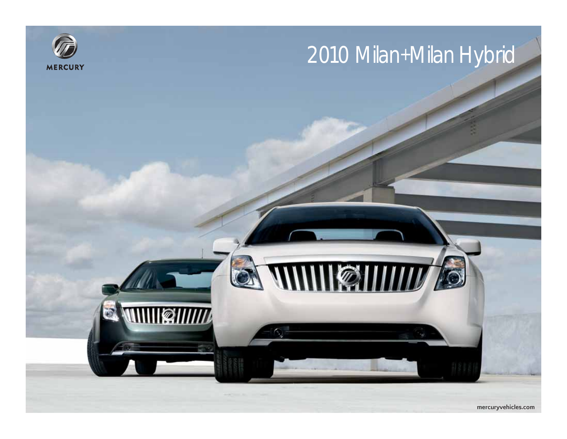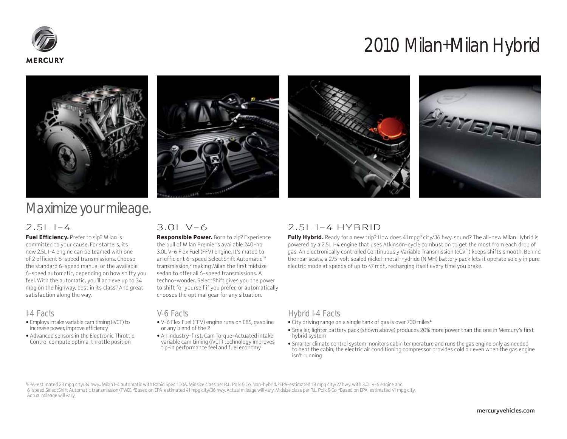







## Maximize your mileage.

### $2.5L$  I-4

**Fuel Efficiency.** Prefer to sip? Milan is committed to your cause. For starters, its new 2.5L I-4 engine can be teamed with one of 2 efficient 6-speed transmissions. Choose the standard 6-speed manual or the available 6-speed automatic, depending on how shifty you feel. With the automatic, you'll achieve up to 34 mpg on the highway, best in its class.<sup>1</sup> And great satisfaction along the way.

### I-4 Facts

- Employs intake variable cam timing (iVCT) to increase power, improve efficiency
- Advanced sensors in the Electronic Throttle Control compute optimal throttle position

### $3.01 V - 6$

**Responsible Power.** Born to zip? Experience the pull of Milan Premier's available 240-hp 3.0L V-6 Flex Fuel (FFV) engine. It's mated to an efficient 6-speed SelectShift Automatic™ transmission,<sup>2</sup> making Milan the first midsize sedan to offer all 6-speed transmissions. A techno-wonder, SelectShift gives you the power to shift for yourself if you prefer, or automatically chooses the optimal gear for any situation.

### V-6 Facts

- V-6 Flex Fuel (FFV) engine runs on E85, gasoline or any blend of the 2
- An industry-first, Cam Torque-Actuated intake variable cam timing (iVCT) technology improves tip-in performance feel and fuel economy

### 2.5L I-4 HYBRID

**Fully Hybrid.** Ready for a new trip? How does 41 mpg<sup>3</sup> city/36 hwy. sound? The all-new Milan Hybrid is powered by a 2.5L I-4 engine that uses Atkinson-cycle combustion to get the most from each drop of gas. An electronically controlled Continuously Variable Transmission (eCVT) keeps shifts smooth. Behind the rear seats, a 275-volt sealed nickel-metal-hydride (NiMH) battery pack lets it operate solely in pure electric mode at speeds of up to 47 mph, recharging itself every time you brake.

### Hybrid I-4 Facts

- City driving range on a single tank of gas is over 700 miles<sup>4</sup>
- Smaller, lighter battery pack (shown above) produces 20% more power than the one in Mercury's first hybrid system
- Smarter climate control system monitors cabin temperature and runs the gas engine only as needed to heat the cabin; the electric air conditioning compressor provides cold air even when the gas engine isn't running

<sup>1</sup>EPA-estimated 23 mpg city/34 hwy., Milan I-4 automatic with Rapid Spec 100A. Midsize class per R.L. Polk & Co. Non-hybrid. <sup>2</sup> EPA-estimated 18 mpg city/27 hwy. with 3.0L V-6 engine and 6-speed SelectShift Automatic transmission (FWD). <sup>3</sup>Based on EPA-estimated 41 mpg city/36 hwy. Actual mileage will vary. Midsize class per R.L. Polk & Co. 4Based on EPA-estimated 41 mpg city. Actual mileage will vary.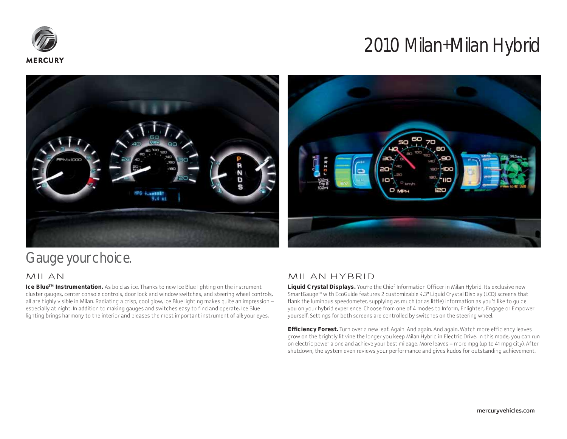





## Gauge your choice.

### MILAN

**Ice BlueTM Instrumentation.** As bold as ice. Thanks to new Ice Blue lighting on the instrument cluster gauges, center console controls, door lock and window switches, and steering wheel controls, all are highly visible in Milan. Radiating a crisp, cool glow, Ice Blue lighting makes quite an impression – especially at night. In addition to making gauges and switches easy to find and operate, Ice Blue lighting brings harmony to the interior and pleases the most important instrument of all: your eyes.

### MILAN HYBRID

**Liquid Crystal Displays.** You're the Chief Information Officer in Milan Hybrid. Its exclusive new SmartGauge™ with EcoGuide features 2 customizable 4.3" Liquid Crystal Display (LCD) screens that flank the luminous speedometer, supplying as much (or as little) information as you'd like to guide you on your hybrid experience. Choose from one of 4 modes to Inform, Enlighten, Engage or Empower yourself. Settings for both screens are controlled by switches on the steering wheel.

**Efficiency Forest.** Turn over a new leaf. Again. And again. And again. Watch more efficiency leaves grow on the brightly lit vine the longer you keep Milan Hybrid in Electric Drive. In this mode, you can run on electric power alone and achieve your best mileage. More leaves = more mpg (up to 41 mpg city). After shutdown, the system even reviews your performance and gives kudos for outstanding achievement.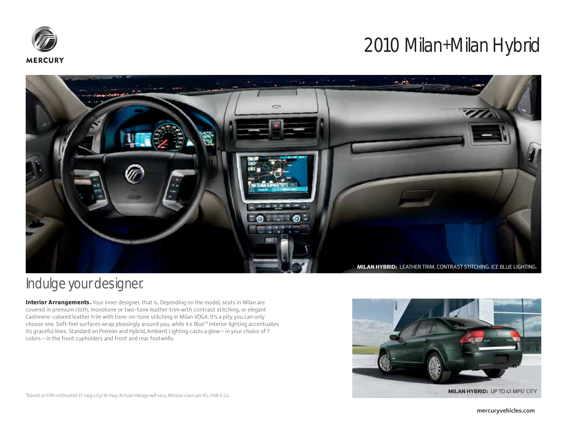



## Indulge your designer.

**Interior Arrangements.** Your inner designer, that is. Depending on the model, seats in Milan are covered in premium cloth, monotone or two-tone leather trim with contrast stitching, or elegant Cashmere-colored leather trim with tone-on-tone stitching in Milan VOGA. It's a pity you can only choose one. Soft-feel surfaces wrap pleasingly around you, while Ice Blue<sup>TM</sup> interior lighting accentuates its graceful lines. Standard on Premier and Hybrid, Ambient Lighting casts a glow – in your choice of 7 colors – in the front cupholders and front and rear footwells.



1Based on EPA-estimated 41 mpg city/36 hwy. Actual mileage will vary. Midsize class per R.L. Polk & Co.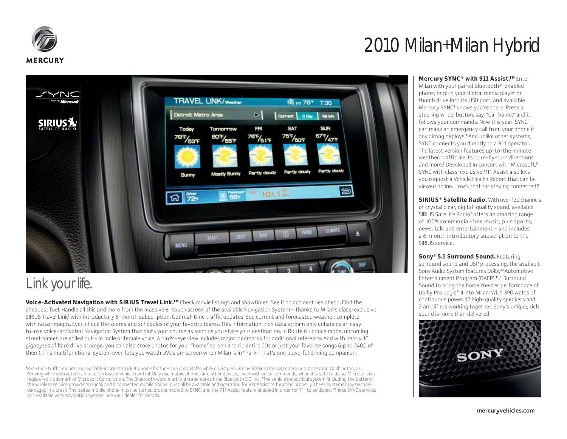

**SIRIUS?** 

Link your life.

# 2010 Milan+Milan Hybrid

**Mercury SYNC<sup>®</sup> with 911 Assist.<sup>™</sup> Enter** Milan with your paired Bluetooth®-enabled phone, or plug your digital media player or thumb drive into its USB port, and available Mercury SYNC<sup>2</sup> knows you're there. Press a steering wheel button, say, "Call home," and it follows your commands. New this year: SYNC can make an emergency call from your phone if any airbag deploys.<sup>3</sup> And unlike other systems, SYNC connects you directly to a 911 operator. The latest version features up-to-the-minute weather, traffic alerts, turn-by-turn directions and more.<sup>4</sup> Developed in concert with Microsoft,® SYNC with class-exclusive 911 Assist also lets you request a Vehicle Health Report that can be viewed online. How's that for staying connected?

**SIRIUS® Satellite Radio.** With over 130 channels of crystal clear, digital-quality sound, available SIRIUS Satellite Radio<sup>1</sup> offers an amazing range of 100% commercial-free music, plus sports, news, talk and entertainment – and includes a 6-month introductory subscription to the SIRIUS service.

surround sound and DSP processing, the available Sony Audio System features Dolby® Automotive Entertainment Program (DAEP) 5.1 Surround Sound to bring the home theater performance of Dolby Pro Logic® II into Milan. With 390 watts of continuous power, 12 high-quality speakers and 2 amplifiers working together, Sony's unique, rich sound is more than delivered.



**Sony® 5.1 Surround Sound.** Featuring



1 Real-time traffic monitoring available in select markets. Some features are unavailable while driving. Service available in the 48 contiguous states and Washington, D.C. 2 Driving while distracted can result in loss of vehicle control. Only use mobile phones and other devices, even with voice commands, when it is safe to do so. Microsoft is a registered trademark of Microsoft Corporation. The Bluetooth word mark is a trademark of the Bluetooth SIG, Inc. <sup>3</sup> The vehicle's electrical system (including the battery), the wireless service provider's signal, and a connected mobile phone must all be available and operating for 911 Assist to function properly. These systems may become damaged in a crash. The paired mobile phone must be turned on, connected to SYNC, and the 911 Assist feature enabled in order for 911 to be dialed. <sup>4</sup> These SYNC services not available with Navigation System. See your dealer for details.

**TRAVEL LINK/wester** 

Tomorrow

 $80\frac{F}{155}$ 

**Mostly Sunny** 

88 887

Detroit Metro Area

Today

**78F/53F** 

**Sunny** 

筦

 $\omega$ 

**JENU** 

**NE EXT 787** 

Current

**SAT** 

 $75F/60F$ 

Partly cloudy

 $\triangleright$   $\mid$ 

FR

 $78F/51F$ 

Partly cloudy

1942

101.1%

 $7:30$ 

SUN

 $675/475$ 

Partly cloudy

**PLANET** 

DOW BAYS

them). This multifunctional system even lets you watch DVDs on-screen when Milan is in "Park." That's one powerful driving companion.

mercuryvehicles.com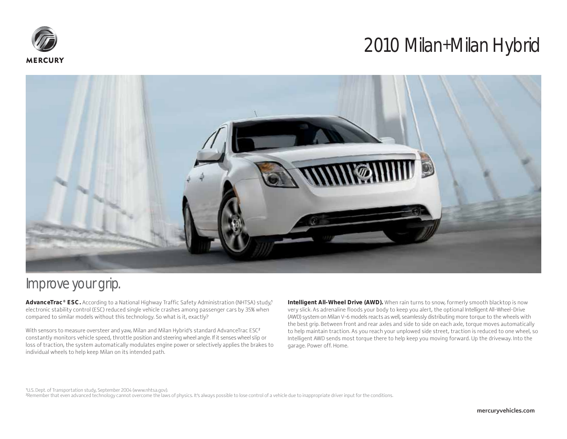



### Improve your grip.

**AdvanceTrac® ESC.** According to a National Highway Traffic Safety Administration (NHTSA) study,<sup>1</sup> electronic stability control (ESC) reduced single vehicle crashes among passenger cars by 35% when compared to similar models without this technology. So what is it, exactly?

With sensors to measure oversteer and yaw, Milan and Milan Hybrid's standard AdvanceTrac ESC<sup>2</sup> constantly monitors vehicle speed, throttle position and steering wheel angle. If it senses wheel slip or loss of traction, the system automatically modulates engine power or selectively applies the brakes to individual wheels to help keep Milan on its intended path.

**Intelligent All-Wheel Drive (AWD).** When rain turns to snow, formerly smooth blacktop is now very slick. As adrenaline floods your body to keep you alert, the optional Intelligent All-Wheel-Drive (AWD) system on Milan V-6 models reacts as well, seamlessly distributing more torque to the wheels with the best grip. Between front and rear axles and side to side on each axle, torque moves automatically to help maintain traction. As you reach your unplowed side street, traction is reduced to one wheel, so Intelligent AWD sends most torque there to help keep you moving forward. Up the driveway. Into the garage. Power off. Home.

1 U.S. Dept. of Transportation study, September 2004 (www.nhtsa.gov). 2 Remember that even advanced technology cannot overcome the laws of physics. It's always possible to lose control of a vehicle due to inappropriate driver input for the conditions.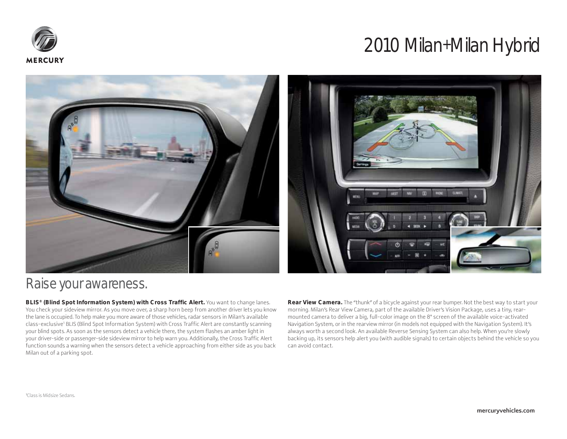





### Raise your awareness.

**BLIS® (Blind Spot Information System) with Cross Traffic Alert.** You want to change lanes. You check your sideview mirror. As you move over, a sharp horn beep from another driver lets you know the lane is occupied. To help make you more aware of those vehicles, radar sensors in Milan's available class-exclusive1 BLIS (Blind Spot Information System) with Cross Traffic Alert are constantly scanning your blind spots. As soon as the sensors detect a vehicle there, the system flashes an amber light in your driver-side or passenger-side sideview mirror to help warn you. Additionally, the Cross Traffic Alert function sounds a warning when the sensors detect a vehicle approaching from either side as you back Milan out of a parking spot.

**Rear View Camera.** The "thunk" of a bicycle against your rear bumper. Not the best way to start your morning. Milan's Rear View Camera, part of the available Driver's Vision Package, uses a tiny, rearmounted camera to deliver a big, full-color image on the 8" screen of the available voice-activated Navigation System, or in the rearview mirror (in models not equipped with the Navigation System). It's always worth a second look. An available Reverse Sensing System can also help. When you're slowly backing up, its sensors help alert you (with audible signals) to certain objects behind the vehicle so you can avoid contact.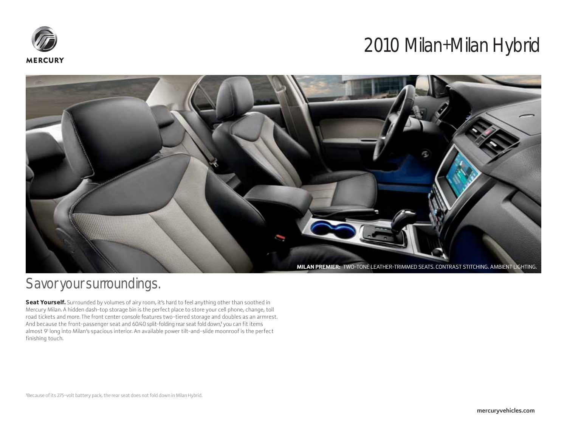



## Savor your surroundings.

Seat Yourself. Surrounded by volumes of airy room, it's hard to feel anything other than soothed in Mercury Milan. A hidden dash-top storage bin is the perfect place to store your cell phone, change, toll road tickets and more. The front center console features two-tiered storage and doubles as an armrest. And because the front-passenger seat and 60/40 split-folding rear seat fold down,<sup>1</sup> you can fit items . almost 9' long into Milan's spacious interior. An available power tilt-and-slide moonroof is the perfect finishing touch.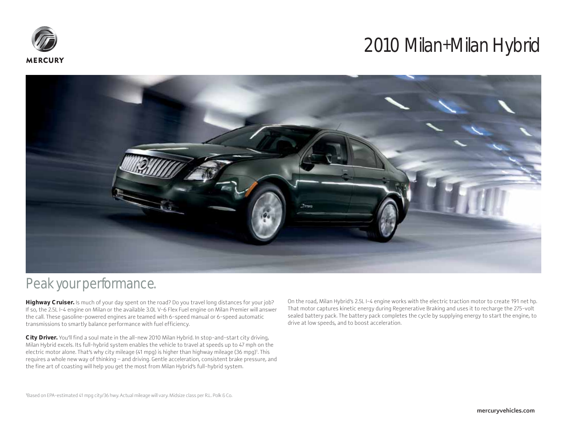



### Peak your performance.

**Highway Cruiser.** Is much of your day spent on the road? Do you travel long distances for your job? If so, the 2.5L I-4 engine on Milan or the available 3.0L V-6 Flex Fuel engine on Milan Premier will answer the call. These gasoline-powered engines are teamed with 6-speed manual or 6-speed automatic transmissions to smartly balance performance with fuel efficiency.

**City Driver.** You'll find a soul mate in the all-new 2010 Milan Hybrid. In stop-and-start city driving, Milan Hybrid excels. Its full-hybrid system enables the vehicle to travel at speeds up to 47 mph on the electric motor alone. That's why city mileage (41 mpg) is higher than highway mileage (36 mpg)1 . This requires a whole new way of thinking – and driving. Gentle acceleration, consistent brake pressure, and the fine art of coasting will help you get the most from Milan Hybrid's full-hybrid system.

On the road, Milan Hybrid's 2.5L I-4 engine works with the electric traction motor to create 191 net hp. That motor captures kinetic energy during Regenerative Braking and uses it to recharge the 275-volt sealed battery pack. The battery pack completes the cycle by supplying energy to start the engine, to drive at low speeds, and to boost acceleration.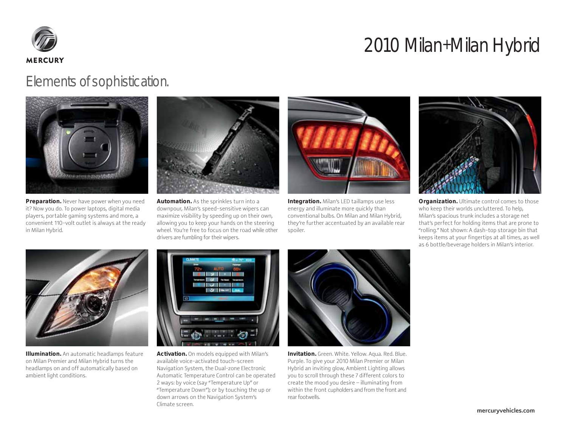

### Elements of sophistication.



**Preparation.** Never have power when you need it? Now you do. To power laptops, digital media players, portable gaming systems and more, a convenient 110-volt outlet is always at the ready in Milan Hybrid.



**Automation.** As the sprinkles turn into a downpour, Milan's speed-sensitive wipers can maximize visibility by speeding up on their own, allowing you to keep your hands on the steering wheel. You're free to focus on the road while other drivers are fumbling for their wipers.



**Integration.** Milan's LED taillamps use less energy and illuminate more quickly than conventional bulbs. On Milan and Milan Hybrid, they're further accentuated by an available rear spoiler.



**Organization.** Ultimate control comes to those who keep their worlds uncluttered. To help, Milan's spacious trunk includes a storage net that's perfect for holding items that are prone to "rolling." Not shown: A dash-top storage bin that keeps items at your fingertips at all times, as well as 6 bottle/beverage holders in Milan's interior.



**Illumination.** An automatic headlamps feature on Milan Premier and Milan Hybrid turns the headlamps on and off automatically based on ambient light conditions.



**Activation.** On models equipped with Milan's available voice-activated touch-screen Navigation System, the Dual-zone Electronic Automatic Temperature Control can be operated 2 ways: by voice (say "Temperature Up" or "Temperature Down"); or by touching the up or down arrows on the Navigation System's Climate screen.



**Invitation.** Green. White. Yellow. Aqua. Red. Blue. Purple. To give your 2010 Milan Premier or Milan Hybrid an inviting glow, Ambient Lighting allows you to scroll through these 7 different colors to create the mood you desire – illuminating from within the front cupholders and from the front and rear footwells.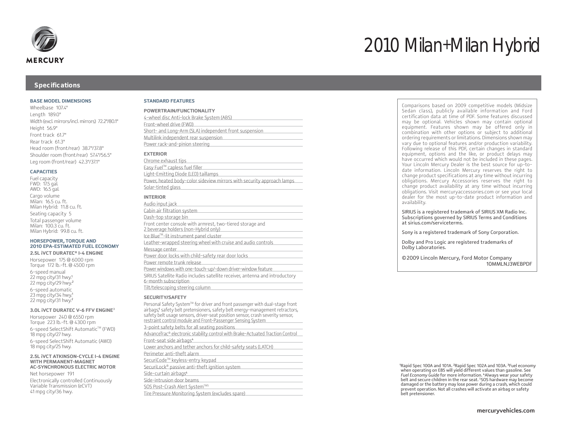

#### **Specifications**

#### **BASE MODEL DIMENSIONS**

Wheelbase 107.4" Length 189.0" Width (excl. mirrors/incl. mirrors) 72.2"/80.1" Height 56.9" Front track 61.7" Rear track 61.3" Head room (front/rear) 38.7"/37.8" Shoulder room (front/rear) 57.4"/56.5" Leg room (front/rear) 42.3"/37.1"

#### **CAPACITIES**

Fuel capacity FWD: 17.5 gal. AWD: 16.5 gal. Cargo volume Milan: 16.5 cu. ft. Milan Hybrid: 11.8 cu. ft. Seating capacity 5 Total passenger volume Milan: 100.3 cu. ft.

Milan Hybrid: 99.8 cu. ft.

#### **HORSEPOWER, TORQUE AND 2010 EPA-ESTIMATED FUEL ECONOMY**

**2.5L iVCT DURATEC® I-4 ENGINE**  Horsepower 175 @ 6000 rpm Torque 172 lb.-ft. @ 4500 rpm 6-speed manual 22 mpg city/31 hwy.<sup>1</sup> 22 mpg city/29 hwy.<sup>2</sup> 6-speed automatic 23 mpg city/34 hwy.<sup>1</sup> 22 mpg city/31 hwy.<sup>2</sup>

#### **3.0L iVCT DURATEC V-6 FFV ENGINE**<sup>3</sup>

Horsepower 240 @ 6550 rpm Torque 223 lb.-ft. @ 4300 rpm 6-speed SelectShift Automatic™ (FWD) 18 mpg city/27 hwy. 6-speed SelectShift Automatic (AWD) 18 mpg city/25 hwy.

#### **2.5L iVCT ATKINSON-CYCLE I-4 ENGINE WITH PERMANENT-MAGNET AC-SYNCHRONOUS ELECTRIC MOTOR**

Net horsepower 191 Electronically controlled Continuously Variable Transmission (eCVT) 41 mpg city/36 hwy.

#### **STANDARD FEATURES**

| POWERTRAIN/FUNCTIONALITY                               |  |
|--------------------------------------------------------|--|
| 4-wheel disc Anti-lock Brake System (ABS)              |  |
| Front-wheel drive (FWD)                                |  |
| Short- and Long-Arm (SLA) independent front suspension |  |
| Multilink independent rear suspension                  |  |
| Power rack-and-pinion steering                         |  |
|                                                        |  |
|                                                        |  |

#### **EXTERIOR**

| <u>Chrome exhaust tips </u>                                            |
|------------------------------------------------------------------------|
| Easy Fuel™ capless fuel filler                                         |
| Light-Emitting Diode (LED) taillamps                                   |
| Power, heated body-color sideview mirrors with security approach lamps |
| Solar-tinted glass                                                     |
|                                                                        |

#### **INTERIOR**

| Audio input jack                                                                                     |
|------------------------------------------------------------------------------------------------------|
| Cabin air filtration system                                                                          |
| Dash-top storage bin                                                                                 |
| Front center console with armrest, two-tiered storage and<br>2 beverage holders (non-Hybrid only)    |
| Ice Blue™-lit instrument panel cluster                                                               |
| Leather-wrapped steering wheel with cruise and audio controls                                        |
| Message center                                                                                       |
| Power door locks with child-safety rear door locks                                                   |
| Power remote trunk release                                                                           |
| Power windows with one-touch-up/-down driver-window feature                                          |
| SIRIUS Satellite Radio includes satellite receiver, antenna and introductory<br>6-month subscription |
| Tilt/telescoping steering column                                                                     |
|                                                                                                      |

#### **SECURITY/SAFETY**

| 3                                                                                                                                                                                                                                                                                                              |
|----------------------------------------------------------------------------------------------------------------------------------------------------------------------------------------------------------------------------------------------------------------------------------------------------------------|
| Personal Safety System™ for driver and front passenger with dual-stage front<br>airbags, safety belt pretensioners, safety belt energy-management retractors,<br>safety belt usage sensors, driver-seat position sensor, crash severity sensor,<br>restraint control module and Front-Passenger Sensing System |
| 3-point safety belts for all seating positions                                                                                                                                                                                                                                                                 |
| AdvanceTrac® electronic stability control with Brake-Actuated Traction Control                                                                                                                                                                                                                                 |
| Front-seat side airbags <sup>4</sup>                                                                                                                                                                                                                                                                           |
| Lower anchors and tether anchors for child-safety seats (LATCH)                                                                                                                                                                                                                                                |
| Perimeter anti-theft alarm                                                                                                                                                                                                                                                                                     |
| SecuriCode™ keyless-entry keypad                                                                                                                                                                                                                                                                               |
| SecuriLock® passive anti-theft ignition system                                                                                                                                                                                                                                                                 |
| Side-curtain airbags <sup>4</sup>                                                                                                                                                                                                                                                                              |
| Side-intrusion door beams                                                                                                                                                                                                                                                                                      |
| SOS Post-Crash Alert System™5                                                                                                                                                                                                                                                                                  |
| Tire Pressure Monitoring System (excludes spare)                                                                                                                                                                                                                                                               |

Comparisons based on 2009 competitive models (Midsize Sedan class), publicly available information and Ford certification data at time of PDF. Some features discussed may be optional. Vehicles shown may contain optional equipment. Features shown may be offered only in combination with other options or subject to additional ordering requirements or limitations. Dimensions shown may vary due to optional features and/or production variability. Following release of this PDF, certain changes in standard equipment, options and the like, or product delays may have occurred which would not be included in these pages. Your Lincoln Mercury Dealer is the best source for up-todate information. Lincoln Mercury reserves the right to change product specifications at any time without incurring obligations. Mercury Accessories reserves the right to change product availability at any time without incurring obligations. Visit mercuryaccessories.com or see your local dealer for the most up-to-date product information and availability.

SIRIUS is a registered trademark of SIRIUS XM Radio Inc. Subscriptions governed by SIRIUS Terms and Conditions at sirius.com/serviceterms.

Sony is a registered trademark of Sony Corporation.

Dolby and Pro Logic are registered trademarks of Dolby Laboratories.

©2009 Lincoln Mercury, Ford Motor Company 10MMLNJ3WEBPDF

1 Rapid Spec 100A and 101A. <sup>2</sup>Rapid Spec 102A and 103A. <sup>3</sup>Fuel economy when operating on E85 will yield different values than gasoline. See Fuel Economy Guide for more information. <sup>4</sup>Always wear your safety belt and secure children in the rear seat. 5 SOS hardware may become damaged or the battery may lose power during a crash, which could prevent operation. Not all crashes will activate an airbag or safety belt pretensioner.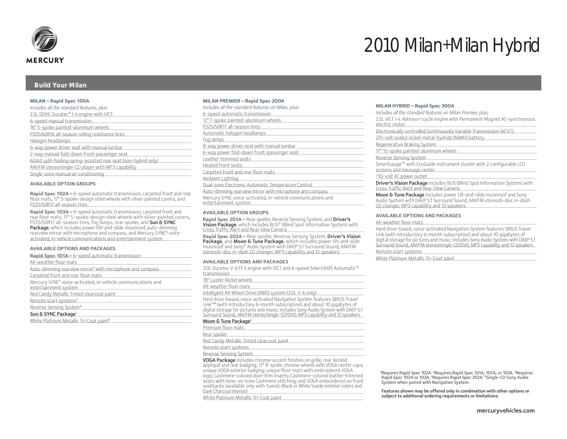

#### **Build Your Milan**

#### **MILAN – Rapid Spec 100A**

| Includes all the standard features, plus:                       |
|-----------------------------------------------------------------|
| 2.5L DOHC Duratec® I-4 engine with iVCT                         |
| 6-speed manual transmission                                     |
| 16" 5-spoke painted-aluminum wheels                             |
| P205/60R16 all-season rolling resistance tires                  |
| Halogen headlamps                                               |
| 6-way power driver seat with manual lumbar                      |
| 2-way manual fold-down front-passenger seat                     |
| 60/40 split-folding spring-assisted rear seat (non-hybrid only) |
| AM/FM stereo/single-CD player with MP3 capability               |
| Single-zone manual air conditioning                             |
|                                                                 |

#### **AVAILABLE OPTION GROUPS**

**Rapid Spec 102A –** 6-speed automatic transmission, carpeted front and rear floor mats, 17" 5-spoke-design steel wheels with silver-painted covers, and P225/50R17 all-season tires

**Rapid Spec 103A –** 6-speed automatic transmission, carpeted front and rear floor mats, 17" 5-spoke-design steel wheels with silver-painted covers, P225/50R17 all-season tires, fog lamps, rear spoiler, and Sun & SYNC Package, which includes power tilt-and-slide moonroof, auto-dimming rearview mirror with microphone and compass, and Mercury SYNC® voiceactivated, in-vehicle communications and entertainment system

#### **AVAILABLE OPTIONS AND PACKAGES**

| Rapid Spec 101A - 6-speed automatic transmission                                                 |
|--------------------------------------------------------------------------------------------------|
| All-weather floor mats                                                                           |
| Auto-dimming rearview mirror <sup>1</sup> with microphone and compass                            |
| Carpeted front and rear floor mats                                                               |
| Mercury SYNC <sup>1</sup> voice-activated, in-vehicle communications and<br>entertainment system |
| Red Candy Metallic Tinted clearcoat paint                                                        |
| Remote start systems <sup>2</sup>                                                                |
| Reverse Sensing System <sup>3</sup>                                                              |
| Sun & SYNC Package <sup>1</sup>                                                                  |
| White Platinum Metallic Tri-Coat paint <sup>3</sup>                                              |

#### **MILAN PREMIER – Rapid Spec 200A**

| Includes all the standard features on Milan, plus:                                  |
|-------------------------------------------------------------------------------------|
| 6-speed automatic transmission                                                      |
| 17" 7-spoke painted-aluminum wheels                                                 |
| P225/50R17 all-season tires                                                         |
| Automatic halogen headlamps                                                         |
| Fog lamps                                                                           |
| 8-way power driver seat with manual lumbar                                          |
| 6-way power fold-down front-passenger seat                                          |
| Leather-trimmed seats                                                               |
| Heated front seats                                                                  |
| Carpeted front and rear floor mats                                                  |
| Ambient Lighting                                                                    |
| Dual-zone Electronic Automatic Temperature Control                                  |
| Auto-dimming rearview mirror with microphone and compass                            |
| Mercury SYNC voice-activated, in-vehicle communications and<br>entertainment system |
|                                                                                     |

#### **AVAILABLE OPTION GROUPS**

**Rapid Spec 201A –** Rear spoiler, Reverse Sensing System, and Driver's Vision Package, which includes BLIS® (Blind Spot Information System) with Cross Traffic Alert and Rear View Camera

**Rapid Spec 202A –** Rear spoiler, Reverse Sensing System, Driver's Vision Package, and Moon & Tune Package, which includes power tilt-and-slide moonroof and Sony® Audio System with DAEP 5.1 Surround Sound, AM/FM stereo/6-disc in-dash CD changer, MP3 capability and 12 speakers

#### **AVAILABLE OPTIONS AND PACKAGES**

3.0L Duratec V-6 FFV engine with iVCT and 6-speed SelectShift Automatic™ transmission

18" Luster Nickel wheels All-weather floor mats

Intelligent All-Wheel Drive (AWD) system (3.0L V-6 only)

Hard drive-based, voice-activated Navigation System features SIRIUS Travel LinkTM<sup>4</sup> (with introductory 6-month subscription) and about 10 gigabytes of digital storage for pictures and music; includes Sony Audio System with DAEP 5.1 Surround Sound, AM/FM stereo/single-CD/DVD, MP3 capability and 12 speakers

#### Moon & Tune Package<sup>5</sup>

| Premium floor mats |  |  |  |
|--------------------|--|--|--|
| Rear spoiler       |  |  |  |
|                    |  |  |  |

Red Candy Metallic Tinted clearcoat paint

Remote start systems

Reverse Sensing System

VOGA Package includes chrome-accent finishes on grille, rear decklid appliqué and rear badging; 17" 8-spoke chrome wheels with VOGA center caps; unique VOGA exterior badging; unique floor mats with embroidered VOGA logo; Cashmere-colored door-trim inserts; Cashmere-colored leather-trimmed seats with tone-on-tone Cashmere stitching; and VOGA embroidered on front seatbacks (available only with Tuxedo Black or White Suede exterior colors and Dark Charcoal interior)

White Platinum Metallic Tri-Coat paint

#### **MILAN HYBRID – Rapid Spec 300A**

*Includes all the standard features on Milan Premier, plus:* 2.5L iVCT I-4 Atkinson-cycle engine with Permanent-Magnet AC-synchronous electric motor Electronically controlled Continuously Variable Transmission (eCVT) 275-volt sealed nickel-metal-hydride (NiMH) battery Regenerative Braking System 17" 15-spoke painted-aluminum wheels Reverse Sensing System SmartGauge™ with EcoGuide instrument cluster with 2 configurable LCD screens and message center 110-volt AC power outlet Driver's Vision Package includes BLIS (Blind Spot Information System) with Cross Traffic Alert and Rear View Camera Moon & Tune Package includes power tilt-and-slide moonroof and Sony Audio System with DAEP 5.1 Surround Sound, AM/FM stereo/6-disc in-dash CD changer, MP3 capability and 12 speakers

#### **AVAILABLE OPTIONS AND PACKAGES**

#### All-weather floor mats

Hard drive-based, voice-activated Navigation System features SIRIUS Travel Link (with introductory 6-month subscription) and about 10 gigabytes of digital storage for pictures and music; includes Sony Audio System with DAEP 5.1 Surround Sound, AM/FM stereo/single-CD/DVD, MP3 capability and 12 speakers

#### Remote start systems

White Platinum Metallic Tri-Coat paint

<sup>1</sup>Requires Rapid Spec 102A. <sup>2</sup>Requires Rapid Spec 101A, 102A, or 103A. <sup>3</sup>Requires Rapid Spec 102A or 103A. 4 Requires Rapid Spec 202A. <sup>5</sup>Single-CD Sony Audio System when paired with Navigation System.

 Features shown may be offered only in combination with other options or subject to additional ordering requirements or limitations.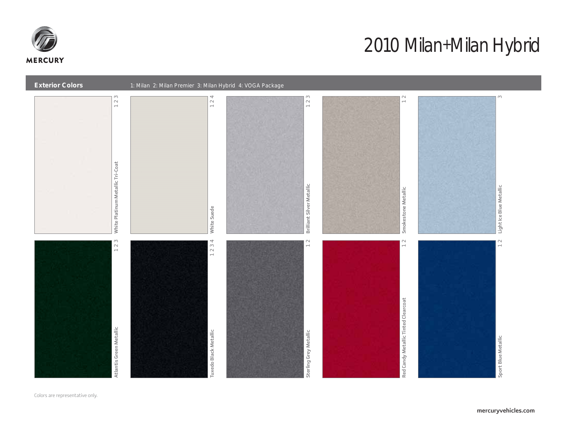



Colors are representative only.